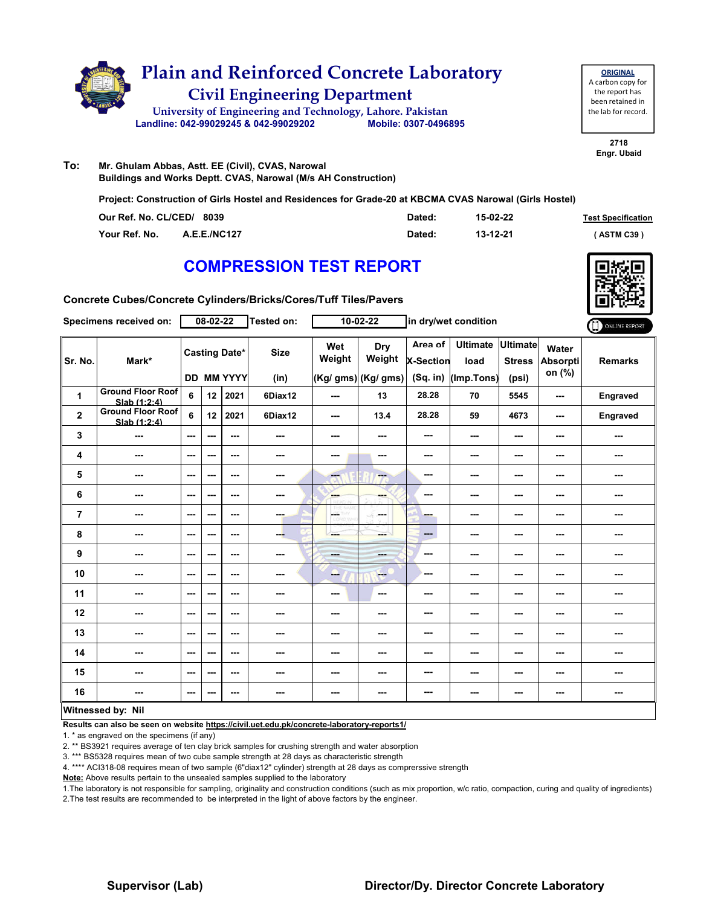

| <b>ORIGINAL</b>     |
|---------------------|
| A carbon copy for   |
| the report has      |
| been retained in    |
| the lab for record. |
|                     |

#### **To: Mr. Ghulam Abbas, Astt. EE (Civil), CVAS, Narowal Buildings and Works Deptt. CVAS, Narowal (M/s AH Construction)**

**Project: Construction of Girls Hostel and Residences for Grade-20 at KBCMA CVAS Narowal (Girls Hostel)**

| Our Ref. No. CL/CED/ 8039 |                     | Dated: | 15-02-22 | <b>Test Specification</b> |
|---------------------------|---------------------|--------|----------|---------------------------|
| Your Ref. No.             | <b>A.E.E./NC127</b> | Dated: | 13-12-21 | (ASTM C39)                |

### **COMPRESSION TEST REPORT**



**Concrete Cubes/Concrete Cylinders/Bricks/Cores/Tuff Tiles/Pavers**

|                | <b>Specimens received on:</b>            |                                           | 08-02-22                 |         | <b>Tested on:</b> |                          | 10-02-22                             |                                           | in dry/wet condition                    |                        |                             | ONLINE REPORT  |
|----------------|------------------------------------------|-------------------------------------------|--------------------------|---------|-------------------|--------------------------|--------------------------------------|-------------------------------------------|-----------------------------------------|------------------------|-----------------------------|----------------|
| Sr. No.        | Mark*                                    | <b>Casting Date*</b><br><b>DD MM YYYY</b> |                          |         |                   | Wet<br>Weight            | Dry<br>Weight<br>(Kg/ gms) (Kg/ gms) | Area of<br><b>X-Section</b><br>$(Sq.$ in) | Ultimate Ultimate<br>load<br>(Imp.Tons) | <b>Stress</b><br>(psi) | Water<br>Absorpti<br>on (%) | <b>Remarks</b> |
|                | <b>Ground Floor Roof</b>                 |                                           |                          |         | (in)              |                          |                                      |                                           |                                         |                        |                             |                |
| 1              | Slab (1:2:4)                             | 6                                         | 12                       | 2021    | 6Diax12           | $\overline{\phantom{a}}$ | 13                                   | 28.28                                     | 70                                      | 5545                   | $\sim$                      | Engraved       |
| $\overline{2}$ | <b>Ground Floor Roof</b><br>Slab (1:2:4) | 6                                         | 12 <sup>2</sup>          | 2021    | 6Diax12           | ---                      | 13.4                                 | 28.28                                     | 59                                      | 4673                   | $\sim$                      | Engraved       |
| 3              | ---                                      | $--$                                      | $\sim$ $\sim$            | $--$    | ---               | ---                      | ---                                  | ---                                       | ---                                     | ---                    | ---                         | ---            |
| 4              | ---                                      | $- - -$                                   | $- - -$                  | $- - -$ | ---               | ---                      | ---                                  | ---                                       | ---                                     | ---                    | $\sim$                      | ---            |
| 5              | ---                                      | ---                                       | $\overline{\phantom{a}}$ | $--$    | ---               | ---                      | ---                                  | ---                                       | ---                                     | ---                    | ---                         | ---            |
| 6              | ---                                      | $- - -$                                   | $- - -$                  | $- - -$ | ---               | --<br><b>Zatramia</b>    | ---                                  | ---                                       | ---                                     | $\sim$ $\sim$          | $\sim$ $\sim$               | ---            |
| $\overline{7}$ | ---                                      | $--$                                      | $- - -$                  | ---     | ---               | posts.<br>w              | <b>Security</b>                      | ---                                       | ---                                     | $\sim$                 | ---                         | ---            |
| 8              | ---                                      | $--$                                      | ---                      | $--$    | ---               | ---                      | ---                                  | ---                                       | $\overline{\phantom{a}}$                | ---                    | $\sim$                      |                |
| 9              | ---                                      | ---                                       | ---                      | ---     | ---               | <b>Bank</b>              | ---                                  | ---                                       | $\sim$                                  | $\sim$ $\sim$          | ---                         | ---            |
| 10             | ---                                      | $--$                                      | $\overline{\phantom{a}}$ | $--$    | ---               | --                       | ---                                  | ---                                       | ---                                     | ---                    | $\sim$                      |                |
| 11             | ---                                      | ---                                       | $\overline{\phantom{a}}$ | ---     | ---               | ---                      | ---                                  | ---                                       | ---                                     | ---                    | ---                         | ---            |
| 12             | ---                                      | ---                                       | $\overline{\phantom{a}}$ | $--$    |                   | ---                      | ---                                  | ---                                       | ---                                     | ---                    | ---                         | ---            |
| 13             | ---                                      | ---                                       | $\overline{\phantom{a}}$ | ---     | ---               | ---                      | ---                                  | ---                                       | ---                                     | ---                    | ---                         | ---            |
| 14             | ---                                      | ---                                       | $\overline{\phantom{a}}$ | $--$    | ---               | ---                      | ---                                  | ---                                       | ---                                     | ---                    | ---                         | ---            |
| 15             | ---                                      | ---                                       | ---                      | ---     | ---               | ---                      | ---                                  | ---                                       | ---                                     | ---                    | ---                         | ---            |
| 16             | ---                                      | ---                                       | ---                      | ---     | ---               | ---                      | ---                                  | ---                                       | ---                                     | $\sim$ $\sim$          | $\sim$ $\sim$               | ---            |
|                | Witnessed by: Nil                        |                                           |                          |         |                   |                          |                                      |                                           |                                         |                        |                             |                |

#### **Witnessed by: Nil**

**Results can also be seen on website https://civil.uet.edu.pk/concrete-laboratory-reports1/**

1. \* as engraved on the specimens (if any)

2. \*\* BS3921 requires average of ten clay brick samples for crushing strength and water absorption

3. \*\*\* BS5328 requires mean of two cube sample strength at 28 days as characteristic strength

4. \*\*\*\* ACI318-08 requires mean of two sample (6"diax12" cylinder) strength at 28 days as comprerssive strength

**Note:** Above results pertain to the unsealed samples supplied to the laboratory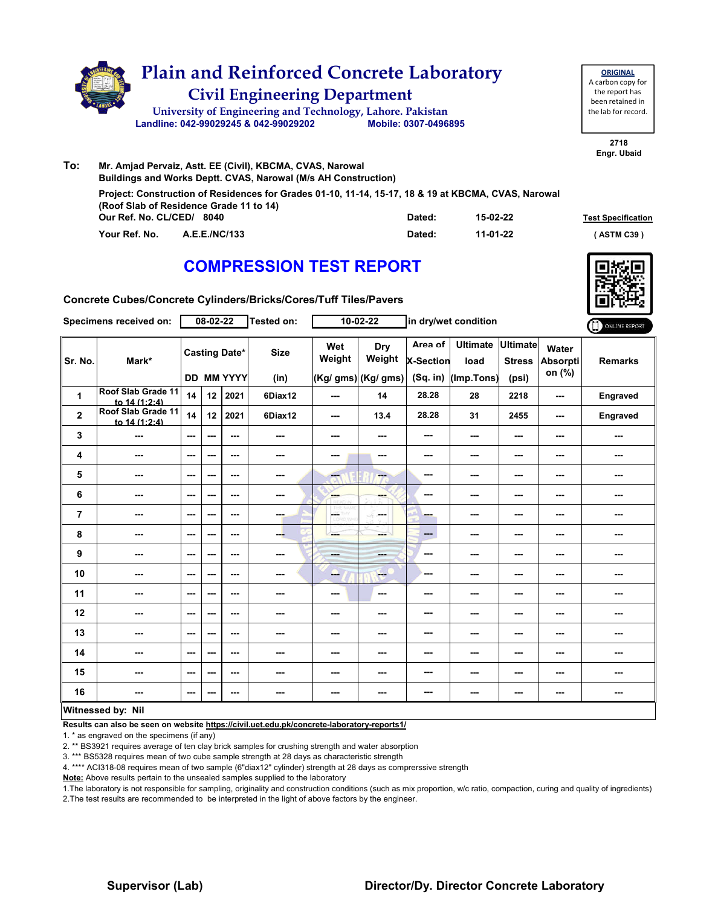

| To: | Mr. Amjad Pervaiz, Astt. EE (Civil), KBCMA, CVAS, Narowal                                                                                      |        |          |                           |
|-----|------------------------------------------------------------------------------------------------------------------------------------------------|--------|----------|---------------------------|
|     | Buildings and Works Deptt. CVAS, Narowal (M/s AH Construction)                                                                                 |        |          |                           |
|     | Project: Construction of Residences for Grades 01-10, 11-14, 15-17, 18 & 19 at KBCMA, CVAS, Narowal<br>(Roof Slab of Residence Grade 11 to 14) |        |          |                           |
|     | Our Ref. No. CL/CED/ 8040                                                                                                                      | Dated: | 15-02-22 | <b>Test Specification</b> |
|     | Your Ref. No.<br><b>A.E.E./NC/133</b>                                                                                                          | Dated: | 11-01-22 | (ASTM C39)                |

### **COMPRESSION TEST REPORT**



**2718 Engr. Ubaid**

**ORIGINAL** A carbon copy for the report has been retained in the lab for record.

**Concrete Cubes/Concrete Cylinders/Bricks/Cores/Tuff Tiles/Pavers**

|                | Specimens received on:              |                        | 08-02-22                 |                                           | <b>Tested on:</b>   |                          | 10-02-22                             |                                         | in dry/wet condition                  |                                           |                                    | ONLINE REPORT  |
|----------------|-------------------------------------|------------------------|--------------------------|-------------------------------------------|---------------------|--------------------------|--------------------------------------|-----------------------------------------|---------------------------------------|-------------------------------------------|------------------------------------|----------------|
| Sr. No.        | Mark*                               |                        |                          | <b>Casting Date*</b><br><b>DD MM YYYY</b> | <b>Size</b><br>(in) | Wet<br>Weight            | Dry<br>Weight<br>(Kg/ gms) (Kg/ gms) | Area of<br><b>X-Section</b><br>(Sq. in) | <b>Ultimate</b><br>load<br>(Imp.Tons) | <b>Ultimate</b><br><b>Stress</b><br>(psi) | Water<br><b>Absorpti</b><br>on (%) | <b>Remarks</b> |
| $\mathbf{1}$   | Roof Slab Grade 11<br>to 14 (1:2:4) | 14                     | 12                       | 2021                                      | 6Diax12             | ---                      | 14                                   | 28.28                                   | 28                                    | 2218                                      | ---                                | Engraved       |
| $\mathbf{2}$   | Roof Slab Grade 11<br>to 14 (1:2:4) | 14                     | 12                       | 2021                                      | 6Diax12             | $\overline{\phantom{a}}$ | 13.4                                 | 28.28                                   | 31                                    | 2455                                      | $\overline{\phantom{a}}$           | Engraved       |
| 3              | ---                                 | $\sim$ $\sim$          | $\overline{\phantom{a}}$ | $\sim$ $\sim$                             | ---                 | ---                      | ---                                  | ---                                     | ---                                   | $--$                                      | ---                                | ---            |
| 4              | ---                                 | $\sim$                 | ---                      | $\sim$ $\sim$                             | ---                 | ---                      | ---                                  | ---                                     | ---                                   | $\overline{\phantom{a}}$                  | ---                                | ---            |
| 5              | $--$                                | $\qquad \qquad \cdots$ | ---                      | $\sim$ $\sim$                             | $\sim$              | ---                      | $-1$                                 | ---                                     | ---                                   | ---                                       | ---                                | ---            |
| 6              | ---                                 | $\sim$ $\sim$          | ---                      | $\sim$                                    | ---                 | ene.                     | ---                                  | ---                                     | ---                                   | ---                                       | ---                                |                |
| $\overline{7}$ | $- - -$                             | $\sim$ $\sim$          | ---                      | $\sim$ $\sim$                             | <b>COLL</b>         | L.                       | -S.<br>محمد                          | ---                                     | ---                                   | $\sim$ $\sim$                             | ---                                | ---            |
| 8              | ---                                 | $\sim$ $\sim$          | ---                      | $\sim$ $\sim$                             | --                  | ---                      | ---                                  | ---                                     | ---                                   | ---                                       | ---                                | ---            |
| 9              | ---                                 | $\sim$ $\sim$          | ---                      | $\sim$ $\sim$                             | ---                 | ---                      | ---                                  | ---                                     | ---                                   | $--$                                      | ---                                |                |
| 10             | ---                                 | $\sim$ $\sim$          | ---                      | $\sim$                                    | ---                 | --                       | $\frac{1}{2}$                        | ---                                     | ---                                   | ---                                       | ---                                | ---            |
| 11             | ---                                 | $\sim$ $\sim$          | ---                      | $- - -$                                   | ---                 | ---                      | ---                                  | ---                                     | ---                                   | ---                                       | ---                                | ---            |
| 12             | $- - -$                             | $- - -$                | ---                      | $\sim$ $\sim$                             | ---                 | ---                      | ---                                  | ---                                     | ---                                   | ---                                       | ---                                | ---            |
| 13             | ---                                 | $\sim$ $\sim$          | ---                      | $\sim$ $\sim$                             | ---                 | ---                      | ---                                  | ---                                     | ---                                   | ---                                       | ---                                | ---            |
| 14             | $\overline{\phantom{a}}$            | $\sim$                 | $- - -$                  | $\sim$ $\sim$                             | ---                 | ---                      | ---                                  | ---                                     | ---                                   | $--$                                      | ---                                | ---            |
| 15             | ---                                 | $\sim$                 | ---                      | ---                                       | ---                 | ---                      | ---                                  | ---                                     | ---                                   | ---                                       | ---                                |                |
| 16             | ---                                 | $\sim$ $\sim$          | ---                      | $- - -$                                   | ---                 | ---                      | ---                                  | ---                                     | ---                                   | ---                                       | ---                                | ---            |
|                | Witnessed by: Nil                   |                        |                          |                                           |                     |                          |                                      |                                         |                                       |                                           |                                    |                |

#### **Witnessed by: Nil**

**Results can also be seen on website https://civil.uet.edu.pk/concrete-laboratory-reports1/**

1. \* as engraved on the specimens (if any)

2. \*\* BS3921 requires average of ten clay brick samples for crushing strength and water absorption

3. \*\*\* BS5328 requires mean of two cube sample strength at 28 days as characteristic strength

4. \*\*\*\* ACI318-08 requires mean of two sample (6"diax12" cylinder) strength at 28 days as comprerssive strength

**Note:** Above results pertain to the unsealed samples supplied to the laboratory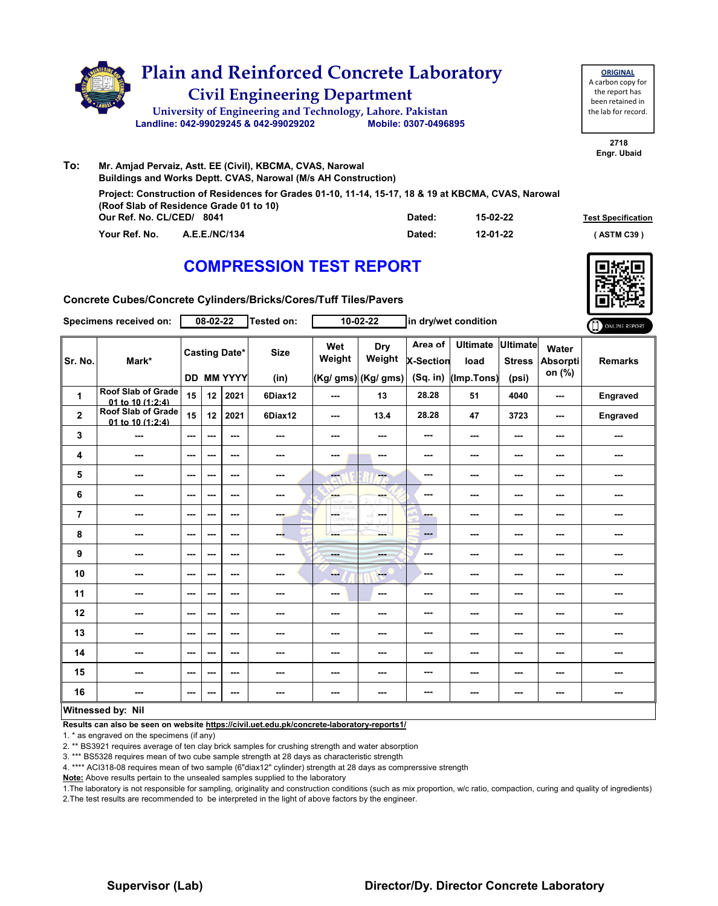

| To: | Mr. Amjad Pervaiz, Astt. EE (Civil), KBCMA, CVAS, Narowal                                                                                      |        |          |                           |
|-----|------------------------------------------------------------------------------------------------------------------------------------------------|--------|----------|---------------------------|
|     | Buildings and Works Deptt. CVAS, Narowal (M/s AH Construction)                                                                                 |        |          |                           |
|     | Project: Construction of Residences for Grades 01-10, 11-14, 15-17, 18 & 19 at KBCMA, CVAS, Narowal<br>(Roof Slab of Residence Grade 01 to 10) |        |          |                           |
|     | Our Ref. No. CL/CED/ 8041                                                                                                                      | Dated: | 15-02-22 | <b>Test Specification</b> |
|     | Your Ref. No.<br><b>A.E.E./NC/134</b>                                                                                                          | Dated: | 12-01-22 | (ASTM C39)                |

### **COMPRESSION TEST REPORT**



**2718 Engr. Ubaid**

**ORIGINAL** A carbon copy for the report has been retained in the lab for record.

**Concrete Cubes/Concrete Cylinders/Bricks/Cores/Tuff Tiles/Pavers**

|                         | Specimens received on:                        |                          | $08 - 02 - 22$ |                                           | Tested on:          |                          | $10 - 02 - 22$                       |                                           | in dry/wet condition                  |                                           |                                    | ONLINE REPORT  |
|-------------------------|-----------------------------------------------|--------------------------|----------------|-------------------------------------------|---------------------|--------------------------|--------------------------------------|-------------------------------------------|---------------------------------------|-------------------------------------------|------------------------------------|----------------|
| Sr. No.                 | Mark*                                         |                          |                | <b>Casting Date*</b><br><b>DD MM YYYY</b> | <b>Size</b><br>(in) | Wet<br>Weight            | Dry<br>Weight<br>(Kg/ gms) (Kg/ gms) | Area of<br><b>X-Section</b><br>$(Sq.$ in) | <b>Ultimate</b><br>load<br>(Imp.Tons) | <b>Ultimate</b><br><b>Stress</b><br>(psi) | Water<br><b>Absorpti</b><br>on (%) | <b>Remarks</b> |
| 1                       | <b>Roof Slab of Grade</b><br>01 to 10 (1:2:4) | 15                       | 12             | 2021                                      | 6Diax12             | $\overline{\phantom{a}}$ | 13                                   | 28.28                                     | 51                                    | 4040                                      | $\sim$                             | Engraved       |
| $\overline{\mathbf{2}}$ | <b>Roof Slab of Grade</b><br>01 to 10 (1:2:4) | 15                       | 12             | 2021                                      | 6Diax12             | $\overline{\phantom{a}}$ | 13.4                                 | 28.28                                     | 47                                    | 3723                                      | $\overline{\phantom{a}}$           | Engraved       |
| 3                       | ---                                           | $\sim$ $\sim$            | ---            | $\sim$ $\sim$                             | ---                 | $\overline{\phantom{a}}$ | ---                                  | ---                                       | $\sim$ $\sim$                         | $\overline{\phantom{a}}$                  | $\sim$                             | ---            |
| 4                       | ---                                           | $\sim$ $\sim$            | ---            | ---                                       | ---                 | ---                      | ---                                  | ---                                       | ---                                   | ---                                       | ---                                | ---            |
| 5                       | ---                                           | $\sim$                   | ---            | ---                                       | ---                 | $-1$                     | ---                                  | ---                                       | ---                                   | ---                                       | ---                                |                |
| 6                       | ---                                           | $\sim$ $\sim$            | ---            | ---                                       | ---                 | ---                      | ---                                  | ---                                       | ---                                   | $\sim$                                    | ---                                | ---            |
| $\overline{7}$          | ---                                           | $\overline{\phantom{a}}$ | ---            | ---                                       | ---                 | <b>CETHY</b>             | ---                                  | ш.                                        | ---                                   | ---                                       | ---                                | ---            |
| 8                       | ---                                           | ---                      | ---            | $\sim$ $\sim$                             | ---                 | ---                      | ---                                  | $\qquad \qquad \cdots$                    | ---                                   | ---                                       | ---                                |                |
| 9                       | ---                                           | ---                      | ---            | ---                                       | ---                 | men.                     | ---                                  | ---                                       | ---                                   | ---                                       | ---                                | ---            |
| 10                      | ---                                           | $-$                      | ---            | $\sim$ $\sim$                             | ---                 | ---                      | $-$                                  | ---                                       | ---                                   | ---                                       | ---                                | ---            |
| 11                      | ---                                           | $\overline{\phantom{a}}$ | ---            | ---                                       | ---                 | $\overline{\phantom{a}}$ | ---                                  | ---                                       | ---                                   | ---                                       | ---                                |                |
| 12                      | ---                                           | ---                      | ---            | ---                                       | ---                 | ---                      | ---                                  | ---                                       | ---                                   | ---                                       | ---                                | ---            |
| 13                      | ---                                           | $\overline{\phantom{a}}$ | ---            | ---                                       | ---                 | ---                      | ---                                  | ---                                       | ---                                   | ---                                       | ---                                | ---            |
| 14                      | ---                                           | $\sim$ $\sim$            | ---            | ---                                       | ---                 | $\overline{\phantom{a}}$ | ---                                  | ---                                       | $\overline{\phantom{a}}$              | $\overline{\phantom{a}}$                  | $\overline{\phantom{a}}$           | ---            |
| 15                      | ---                                           | ---                      | ---            | ---                                       | ---                 | ---                      | ---                                  | ---                                       | ---                                   | $--$                                      | ---                                | ---            |
| 16                      | ---                                           | $\sim$                   | ---            | ---                                       | ---                 | ---                      | ---                                  | ---                                       | ---                                   | ---                                       | ---                                | ---            |
|                         | Witnessed by: Nil                             |                          |                |                                           |                     |                          |                                      |                                           |                                       |                                           |                                    |                |

#### **Witnessed by: Nil**

**Results can also be seen on website https://civil.uet.edu.pk/concrete-laboratory-reports1/**

1. \* as engraved on the specimens (if any)

2. \*\* BS3921 requires average of ten clay brick samples for crushing strength and water absorption

3. \*\*\* BS5328 requires mean of two cube sample strength at 28 days as characteristic strength

4. \*\*\*\* ACI318-08 requires mean of two sample (6"diax12" cylinder) strength at 28 days as comprerssive strength

**Note:** Above results pertain to the unsealed samples supplied to the laboratory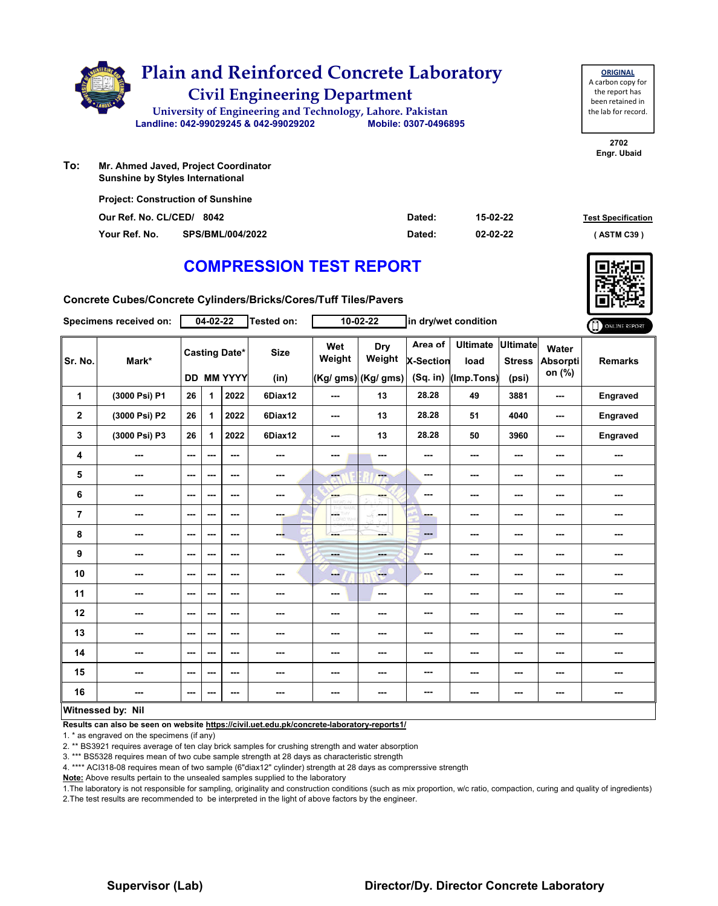

**To: Sunshine by Styles International**

| <b>Project: Construction of Sunshine</b> |                         |        |          |                           |
|------------------------------------------|-------------------------|--------|----------|---------------------------|
| Our Ref. No. CL/CED/ 8042                |                         | Dated: | 15-02-22 | <b>Test Specification</b> |
| Your Ref. No.                            | <b>SPS/BML/004/2022</b> | Dated: | 02-02-22 | (ASTM C39)                |

### **COMPRESSION TEST REPORT**

**Concrete Cubes/Concrete Cylinders/Bricks/Cores/Tuff Tiles/Pavers**

|                  | Specimens received on: |                          | $04 - 02 - 22$ |                                           | <b>Tested on:</b>   |                           | $10 - 02 - 22$                              |                                           | in dry/wet condition                  |                                    |                                    | ONLINE REPORT  |
|------------------|------------------------|--------------------------|----------------|-------------------------------------------|---------------------|---------------------------|---------------------------------------------|-------------------------------------------|---------------------------------------|------------------------------------|------------------------------------|----------------|
| Sr. No.          | Mark*                  |                          |                | <b>Casting Date*</b><br><b>DD MM YYYY</b> | <b>Size</b><br>(in) | Wet<br>Weight             | <b>Dry</b><br>Weight<br>(Kg/ gms) (Kg/ gms) | Area of<br><b>X-Section</b><br>$(Sq.$ in) | <b>Ultimate</b><br>load<br>(Imp.Tons) | Ultimate<br><b>Stress</b><br>(psi) | Water<br><b>Absorpti</b><br>on (%) | <b>Remarks</b> |
| 1                | (3000 Psi) P1          | 26                       | 1              | 2022                                      | 6Diax12             | ---                       | 13                                          | 28.28                                     | 49                                    | 3881                               | ---                                | Engraved       |
| $\boldsymbol{2}$ | (3000 Psi) P2          | 26                       | 1              | 2022                                      | 6Diax12             | ---                       | 13                                          | 28.28                                     | 51                                    | 4040                               | ---                                | Engraved       |
| 3                | (3000 Psi) P3          | 26                       | 1              | 2022                                      | 6Diax12             | ---                       | 13                                          | 28.28                                     | 50                                    | 3960                               | ---                                | Engraved       |
| 4                | ---                    | ---                      | ---            | ---                                       | ---                 | ---                       | ---                                         | ---                                       | ---                                   | ---                                | ---                                | ---            |
| 5                | ---                    | ---                      | ---            | ---                                       | ---                 | $-1$                      | ---                                         | ---                                       | ---                                   | $--$                               | ---                                | ---            |
| $\bf 6$          | ---                    | ---                      | ---            | ---                                       | $- - -$             | <b>SHOP</b>               | ---                                         | ---                                       | ---                                   | ---                                | ---                                | ---            |
| $\overline{7}$   | ---                    | ---                      | ---            | ---                                       | ---                 | LGC.<br>w<br>LIGRED, WIPE | -F.<br>in ma                                | ---                                       | ---                                   | ---                                | ---                                | ---            |
| 8                | ---                    | ---                      | ---            | $\overline{\phantom{a}}$                  | --                  | ---                       | ---                                         | $\qquad \qquad \cdots$                    | ---                                   | ---                                | ---                                | ---            |
| 9                | ---                    | ---                      | ---            | ---                                       | ---                 | $- - -$                   | ---                                         | ---                                       | ---                                   | ---                                | ---                                | ---            |
| 10               | ---                    | ---                      | ---            | ---                                       | ---                 | ---                       | <b>Fee</b>                                  | ---                                       | ---                                   | $--$                               | ---                                | ---            |
| 11               | ---                    | $\overline{\phantom{a}}$ | ---            | ---                                       | ---                 | ---                       | $\sim$                                      | ---                                       | ---                                   | ---                                | ---                                | ---            |
| 12               | ---                    | ---                      | ---            | ---                                       | ---                 | ---                       | ---                                         | ---                                       | ---                                   | ---                                | ---                                | ---            |
| 13               | ---                    | $-$                      | ---            | $-$                                       | ---                 | ---                       | ---                                         | ---                                       | ---                                   | ---                                | ---                                | ---            |
| 14               | ---                    | $\hspace{0.05cm} \ldots$ | ---            | ---                                       | ---                 | ---                       | ---                                         | ---                                       | ---                                   | ---                                | ---                                | ---            |
| 15               | ---                    | ---                      | ---            | ---                                       | ---                 | ---                       | ---                                         | ---                                       | ---                                   | ---                                | ---                                | ---            |
| 16               | ---                    | ---                      | ---            | ---                                       | ---                 | ---                       | ---                                         | ---                                       | ---                                   | ---                                | ---                                | ---            |
|                  | Witnessed by: Nil      |                          |                |                                           |                     |                           |                                             |                                           |                                       |                                    |                                    |                |

#### **Witnessed by: Nil**

**Results can also be seen on website https://civil.uet.edu.pk/concrete-laboratory-reports1/**

1. \* as engraved on the specimens (if any)

2. \*\* BS3921 requires average of ten clay brick samples for crushing strength and water absorption

3. \*\*\* BS5328 requires mean of two cube sample strength at 28 days as characteristic strength

4. \*\*\*\* ACI318-08 requires mean of two sample (6"diax12" cylinder) strength at 28 days as comprerssive strength

**Note:** Above results pertain to the unsealed samples supplied to the laboratory

1.The laboratory is not responsible for sampling, originality and construction conditions (such as mix proportion, w/c ratio, compaction, curing and quality of ingredients) 2.The test results are recommended to be interpreted in the light of above factors by the engineer.



**2702 Engr. Ubaid**

**ORIGINAL** A carbon copy for the report has been retained in the lab for record.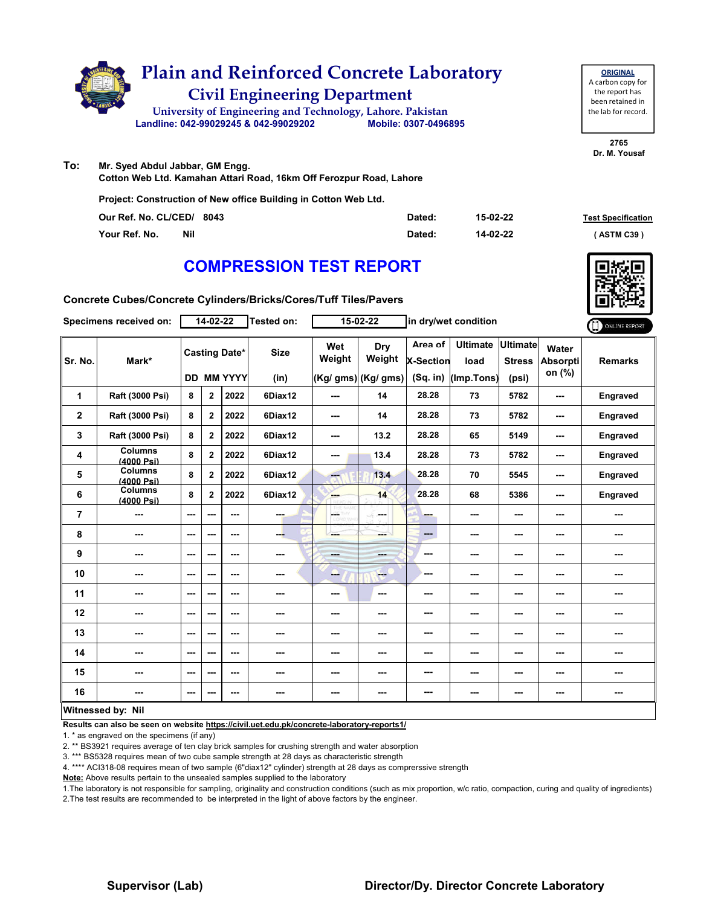

**To: Mr. Syed Abdul Jabbar, GM Engg. Cotton Web Ltd. Kamahan Attari Road, 16km Off Ferozpur Road, Lahore**

**Project: Construction of New office Building in Cotton Web Ltd.**

| Our Ref. No. CL/CED/ 8043 |            | Dated: | 15-02-22 | <b>Test Specification</b> |
|---------------------------|------------|--------|----------|---------------------------|
| Your Ref. No.             | <b>Nil</b> | Dated: | 14-02-22 | (ASTM C39)                |

### **COMPRESSION TEST REPORT**

**Concrete Cubes/Concrete Cylinders/Bricks/Cores/Tuff Tiles/Pavers**

|                | Specimens received on:       |                          | 14-02-22                                  |      | Tested on:          |               | $15 - 02 - 22$                        |                                         | in dry/wet condition                  |                                    |                                    | ONLINE REPORT   |
|----------------|------------------------------|--------------------------|-------------------------------------------|------|---------------------|---------------|---------------------------------------|-----------------------------------------|---------------------------------------|------------------------------------|------------------------------------|-----------------|
| Sr. No.        | Mark*                        |                          | <b>Casting Date*</b><br><b>DD MM YYYY</b> |      | <b>Size</b><br>(in) | Wet<br>Weight | Dry<br>Weight<br>$(Kg/gms)$ (Kg/ gms) | Area of<br><b>X-Section</b><br>(Sq. in) | <b>Ultimate</b><br>load<br>(Imp.Tons) | Ultimate<br><b>Stress</b><br>(psi) | Water<br><b>Absorpti</b><br>on (%) | <b>Remarks</b>  |
| 1              | Raft (3000 Psi)              | 8                        | $\mathbf 2$                               | 2022 | 6Diax12             | ---           | 14                                    | 28.28                                   | 73                                    | 5782                               | ---                                | Engraved        |
| $\mathbf 2$    | Raft (3000 Psi)              | 8                        | $\overline{2}$                            | 2022 | 6Diax12             | ---           | 14                                    | 28.28                                   | 73                                    | 5782                               | ---                                | <b>Engraved</b> |
| 3              | Raft (3000 Psi)              | 8                        | $\mathbf{2}$                              | 2022 | 6Diax12             | ---           | 13.2                                  | 28.28                                   | 65                                    | 5149                               | ---                                | <b>Engraved</b> |
| 4              | <b>Columns</b><br>(4000 Psi) | 8                        | $\mathbf{2}$                              | 2022 | 6Diax12             | ---           | 13.4                                  | 28.28                                   | 73                                    | 5782                               | ---                                | Engraved        |
| 5              | <b>Columns</b><br>(4000 Psi) | 8                        | $\overline{2}$                            | 2022 | 6Diax12             | <b>Fee</b>    | 13.4                                  | 28.28                                   | 70                                    | 5545                               | ---                                | Engraved        |
| 6              | <b>Columns</b><br>(4000 Psi) | 8                        | $\mathbf{2}$                              | 2022 | 6Diax12             | ---           | 14                                    | 28.28                                   | 68                                    | 5386                               | ---                                | Engraved        |
| $\overline{7}$ | ---                          | ---                      | ---                                       | ---  | man.                | LGS.          | <b>Security</b>                       | ---                                     | ---                                   | ---                                | ---                                |                 |
| 8              | ---                          | ---                      | ---                                       | ---  | ---                 | ---           | ---                                   | $\qquad \qquad \cdots$                  | ---                                   | ---                                | ---                                | ---             |
| 9              | ---                          | ---                      | ---                                       | ---  | ---                 | ---           | ---                                   | ---                                     | ---                                   | ---                                | ---                                | ---             |
| 10             | ---                          | ---                      | ---                                       | ---  | ---                 | ---           | <b>Here</b>                           | ---                                     | ---                                   | ---                                | ---                                | ---             |
| 11             | ---                          | ---                      | ---                                       | ---  | ---                 | ---           | ---                                   | ---                                     | ---                                   | ---                                | ---                                | ---             |
| 12             | ---                          | ---                      | ---                                       | ---  | ---                 | ---           | ---                                   | ---                                     | ---                                   | ---                                | ---                                | ---             |
| 13             | ---                          | ---                      | ---                                       | ---  | ---                 | ---           | ---                                   | ---                                     | ---                                   | $--$                               | ---                                | ---             |
| 14             | ---                          | ---                      | ---                                       | ---  | ---                 | ---           | ---                                   | ---                                     | ---                                   | ---                                | ---                                | ---             |
| 15             | ---                          | ---                      | ---                                       | ---  | ---                 | ---           | ---                                   | ---                                     | ---                                   | $--$                               | ---                                | ---             |
| 16             | ---                          | $\overline{\phantom{a}}$ |                                           | ---  | ---                 | ---           | ---                                   | ---                                     | ---                                   | $--$                               | ---                                | ---             |
|                | Witnessed by: Nil            |                          |                                           |      |                     |               |                                       |                                         |                                       |                                    |                                    |                 |

**Results can also be seen on website https://civil.uet.edu.pk/concrete-laboratory-reports1/**

1. \* as engraved on the specimens (if any)

2. \*\* BS3921 requires average of ten clay brick samples for crushing strength and water absorption

3. \*\*\* BS5328 requires mean of two cube sample strength at 28 days as characteristic strength

4. \*\*\*\* ACI318-08 requires mean of two sample (6"diax12" cylinder) strength at 28 days as comprerssive strength

**Note:** Above results pertain to the unsealed samples supplied to the laboratory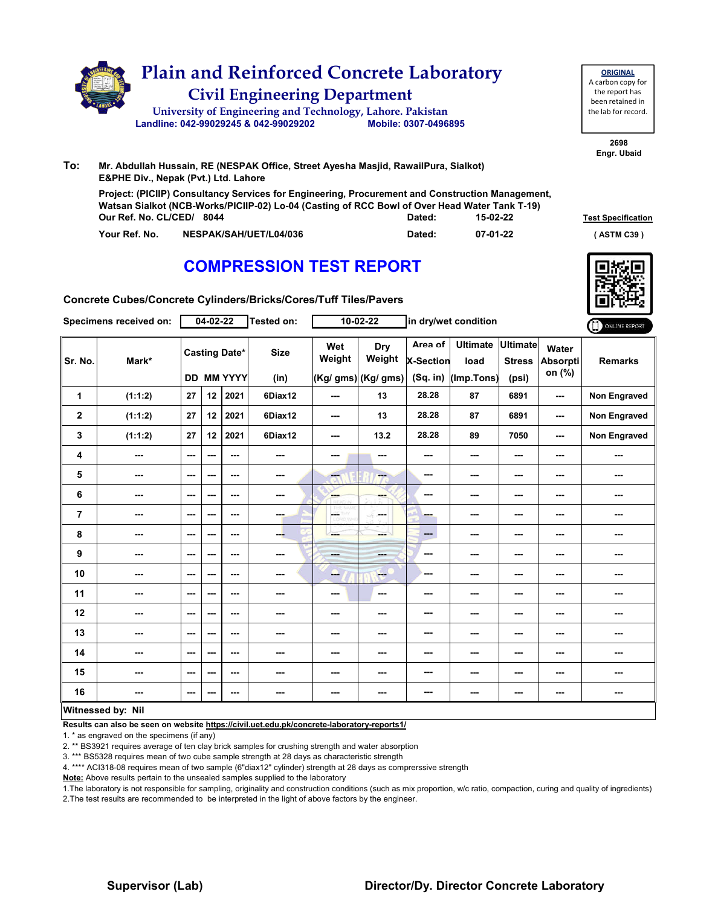

| <b>ORIGINAL</b>     |
|---------------------|
| A carbon copy for   |
| the report has      |
| been retained in    |
| the lab for record. |
|                     |
|                     |

**Our Ref. No. CL/CED/ Dated: Test Specification 8044 15-02-22 Project: (PICIIP) Consultancy Services for Engineering, Procurement and Construction Management, Watsan Sialkot (NCB-Works/PICIIP-02) Lo-04 (Casting of RCC Bowl of Over Head Water Tank T-19)**

**Your Ref. No. NESPAK/SAH/UET/L04/036 Dated: ( ASTM C39 )**

# **COMPRESSION TEST REPORT**



**07-01-22**

**Concrete Cubes/Concrete Cylinders/Bricks/Cores/Tuff Tiles/Pavers**

|                | Specimens received on:   |               | $04 - 02 - 22$ |                                           | Tested on:               |                         | $10 - 02 - 22$                       |                                    | in dry/wet condition                  |                                           |                             | ONLINE REPORT       |
|----------------|--------------------------|---------------|----------------|-------------------------------------------|--------------------------|-------------------------|--------------------------------------|------------------------------------|---------------------------------------|-------------------------------------------|-----------------------------|---------------------|
| Sr. No.        | Mark*                    |               |                | <b>Casting Date*</b><br><b>DD MM YYYY</b> | <b>Size</b><br>(in)      | Wet<br>Weight           | Dry<br>Weight<br>(Kg/ gms) (Kg/ gms) | Area of<br>X-Section<br>$(Sq.$ in) | <b>Ultimate</b><br>load<br>(Imp.Tons) | <b>Ultimate</b><br><b>Stress</b><br>(psi) | Water<br>Absorpti<br>on (%) | <b>Remarks</b>      |
| 1              | (1:1:2)                  | 27            | 12             | 2021                                      | 6Diax12                  | ---                     | 13                                   | 28.28                              | 87                                    | 6891                                      | ---                         | <b>Non Engraved</b> |
| $\mathbf{2}$   | (1:1:2)                  | 27            | 12             | 2021                                      | 6Diax12                  | ---                     | 13                                   | 28.28                              | 87                                    | 6891                                      | $\overline{\phantom{a}}$    | <b>Non Engraved</b> |
| 3              | (1:1:2)                  | 27            | 12             | 2021                                      | 6Diax12                  | ---                     | 13.2                                 | 28.28                              | 89                                    | 7050                                      | ---                         | Non Engraved        |
| 4              | ---                      | $\sim$ $\sim$ | ---            | ---                                       | $\sim$ $\sim$            | ---                     | ---                                  | ---                                | ---                                   | ---                                       | ---                         | ---                 |
| 5              | $\sim$                   | $\sim$ $\sim$ | ---            | ---                                       | $\cdots$                 | $\overline{\mathbf{a}}$ | --                                   | ---                                | ---                                   | $--$                                      | ---                         | ---                 |
| 6              | $\overline{\phantom{a}}$ | $--$          | ---            | $--$                                      | $\overline{\phantom{a}}$ | ---                     | ---                                  | ---                                | ---                                   | ---                                       | ---                         | ---                 |
| $\overline{7}$ | ---                      | ---           | ---            | ---                                       | ---                      | <b>LOE THY</b>          | ---                                  | ---                                | ---                                   | ---                                       | ---                         |                     |
| 8              | ---                      | $\sim$ $\sim$ | ---            | $\overline{\phantom{a}}$                  | ---                      | ---                     | ---                                  | ---                                | ---                                   | $--$                                      | ---                         | ---                 |
| 9              | ---                      | $\sim$ $\sim$ | ---            | $--$                                      | $\cdots$                 | <b>Barbara</b>          | ---                                  | ---                                | ---                                   | ---                                       | ---                         | ---                 |
| 10             | ---                      | $--$          | ---            | $--$                                      | ---                      | ---                     | <b>Here</b>                          | ---                                | ---                                   | ---                                       | ---                         | ---                 |
| 11             | ---                      | ---           | ---            | ---                                       | ---                      | ---                     | $\sim$                               | ---                                | ---                                   | ---                                       | ---                         | ---                 |
| 12             | ---                      | $\sim$ $\sim$ | ---            | ---                                       | ---                      | ---                     | ---                                  | ---                                | ---                                   | ---                                       | ---                         | ---                 |
| 13             | ---                      | ---           | ---            | ---                                       | ---                      | ---                     | ---                                  | ---                                | ---                                   | ---                                       | ---                         | ---                 |
| 14             | ---                      | $--$          | ---            | $--$                                      | ---                      | ---                     | ---                                  | ---                                | ---                                   | ---                                       | ---                         | ---                 |
| 15             | ---                      | $\sim$ $\sim$ | ---            | $--$                                      | $\overline{\phantom{a}}$ | ---                     | ---                                  | ---                                | ---                                   | ---                                       | ---                         | ---                 |
| 16             | ---                      | ---           | ---            | ---                                       | ---                      | ---                     | ---                                  | ---                                | ---                                   | ---                                       | ---                         |                     |
|                | Witnessed by: Nil        |               |                |                                           |                          |                         |                                      |                                    |                                       |                                           |                             |                     |

#### **Witnessed by: Nil**

**Results can also be seen on website https://civil.uet.edu.pk/concrete-laboratory-reports1/**

1. \* as engraved on the specimens (if any)

2. \*\* BS3921 requires average of ten clay brick samples for crushing strength and water absorption

3. \*\*\* BS5328 requires mean of two cube sample strength at 28 days as characteristic strength

4. \*\*\*\* ACI318-08 requires mean of two sample (6"diax12" cylinder) strength at 28 days as comprerssive strength

**Note:** Above results pertain to the unsealed samples supplied to the laboratory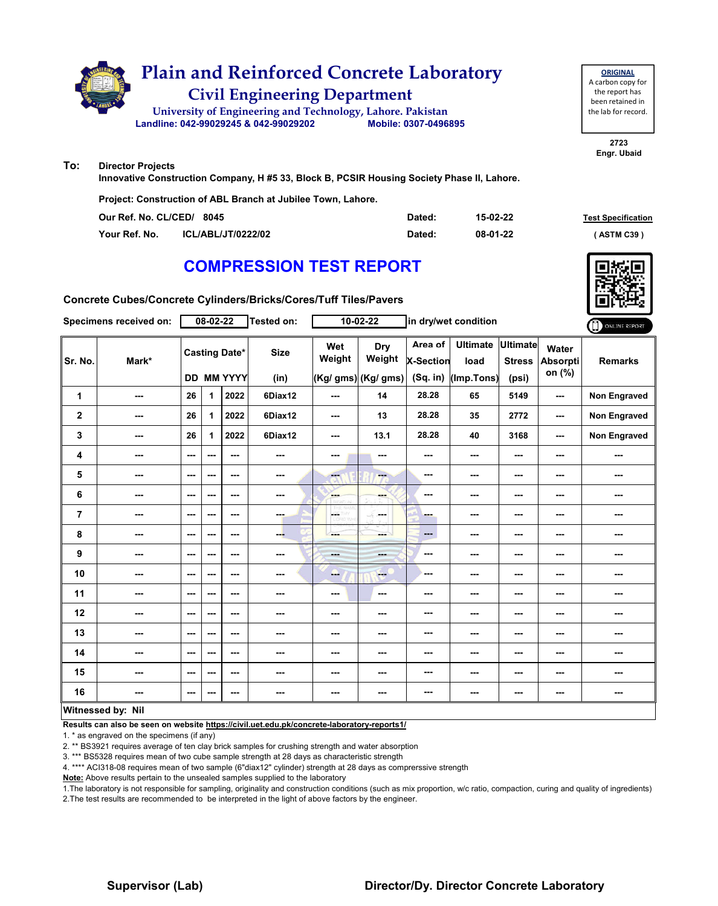

| <b>ORIGINAL</b>     |
|---------------------|
| A carbon copy for   |
| the report has      |
| been retained in    |
| the lab for record. |
|                     |

**To: Director Projects**

**Innovative Construction Company, H #5 33, Block B, PCSIR Housing Society Phase II, Lahore.**

**Project: Construction of ABL Branch at Jubilee Town, Lahore.**

| Our Ref. No. CL/CED/ 8045 |                           | Dated: | 15-02-22 | <b>Test Specification</b> |
|---------------------------|---------------------------|--------|----------|---------------------------|
| Your Ref. No.             | <b>ICL/ABL/JT/0222/02</b> | Dated: | 08-01-22 | . ASTM C39 '              |

### **COMPRESSION TEST REPORT**



**Concrete Cubes/Concrete Cylinders/Bricks/Cores/Tuff Tiles/Pavers**

|                | Specimens received on:   |                          | 08-02-22 |                                           | Tested on:               |               | 10-02-22                             |                                         | in dry/wet condition                  |                                           |                                    | ONLINE REPORT       |
|----------------|--------------------------|--------------------------|----------|-------------------------------------------|--------------------------|---------------|--------------------------------------|-----------------------------------------|---------------------------------------|-------------------------------------------|------------------------------------|---------------------|
| Sr. No.        | Mark*                    |                          |          | <b>Casting Date*</b><br><b>DD MM YYYY</b> | <b>Size</b><br>(in)      | Wet<br>Weight | Dry<br>Weight<br>(Kg/ gms) (Kg/ gms) | Area of<br><b>X-Section</b><br>(Sq. in) | <b>Ultimate</b><br>load<br>(Imp.Tons) | <b>Ultimate</b><br><b>Stress</b><br>(psi) | Water<br><b>Absorpti</b><br>on (%) | <b>Remarks</b>      |
| 1              | ---                      | 26                       | 1        | 2022                                      | 6Diax12                  | ---           | 14                                   | 28.28                                   | 65                                    | 5149                                      | ---                                | Non Engraved        |
| $\mathbf 2$    | ---                      | 26                       | 1        | 2022                                      | 6Diax12                  | ---           | 13                                   | 28.28                                   | 35                                    | 2772                                      | ---                                | <b>Non Engraved</b> |
| 3              | ---                      | 26                       | 1        | 2022                                      | 6Diax12                  | ---           | 13.1                                 | 28.28                                   | 40                                    | 3168                                      | ---                                | <b>Non Engraved</b> |
| 4              | ---                      | ---                      | ---      | $--$                                      | ---                      | ---           |                                      | ---                                     | ---                                   | ---                                       | ---                                | ---                 |
| 5              | ---                      | ---                      | ---      | $--$                                      | $\overline{\phantom{a}}$ | ---           | ---                                  | ---                                     | ---                                   | ---                                       | ---                                | ---                 |
| 6              | ---                      | ---                      | ---      | $\overline{\phantom{a}}$                  | $\sim$                   | en e          | ---                                  | ---                                     | ---                                   | ---                                       | ---                                | ---                 |
| $\overline{7}$ | ---                      | $\overline{\phantom{a}}$ | ---      | $--$                                      | <b>THE</b>               | ÷             | ---                                  | ---                                     | ---                                   | ---                                       | ---                                | ---                 |
| 8              | ---                      | ---                      | ---      | ---                                       | ---                      | ---           | --                                   | ---                                     | ---                                   | ---                                       | ---                                | ---                 |
| 9              | ---                      | ---                      | ---      | $--$                                      | ---                      | men.          | ---                                  | ---                                     | ---                                   | ---                                       | ---                                | ---                 |
| 10             | $\sim$                   | $\sim$ $\sim$            | ---      | ---                                       | ---                      | --            | <b>Fee</b>                           | ---                                     | ---                                   | $--$                                      | ---                                | ---                 |
| 11             | $\overline{\phantom{a}}$ | $--$                     | ---      | ---                                       | $\sim$                   | ---           | ---                                  | ---                                     | ---                                   | ---                                       | ---                                | ---                 |
| 12             | ---                      | $--$                     | ---      | $--$                                      | ---                      | ---           | ---                                  | ---                                     | ---                                   | ---                                       | ---                                | ---                 |
| 13             | ---                      | $--$                     | ---      | ---                                       | ---                      | ---           | ---                                  | ---                                     | ---                                   | ---                                       | ---                                | ---                 |
| 14             | ---                      | $\sim$ $\sim$            | ---      | $--$                                      | $\cdots$                 | ---           | ---                                  | ---                                     | ---                                   | $--$                                      | ---                                | ---                 |
| 15             | ---                      | ---                      | ---      | ---                                       | ---                      | ---           | ---                                  | ---                                     | ---                                   | ---                                       | ---                                | ---                 |
| 16             | ---                      | $--$                     | ---      | ---                                       | $\overline{a}$           | ---           | ---                                  | ---                                     | ---                                   | $--$                                      | ---                                | ---                 |
|                | Witnessed by: Nil        |                          |          |                                           |                          |               |                                      |                                         |                                       |                                           |                                    |                     |

#### **Witnessed by: Nil**

**Results can also be seen on website https://civil.uet.edu.pk/concrete-laboratory-reports1/**

1. \* as engraved on the specimens (if any)

2. \*\* BS3921 requires average of ten clay brick samples for crushing strength and water absorption

3. \*\*\* BS5328 requires mean of two cube sample strength at 28 days as characteristic strength

4. \*\*\*\* ACI318-08 requires mean of two sample (6"diax12" cylinder) strength at 28 days as comprerssive strength

**Note:** Above results pertain to the unsealed samples supplied to the laboratory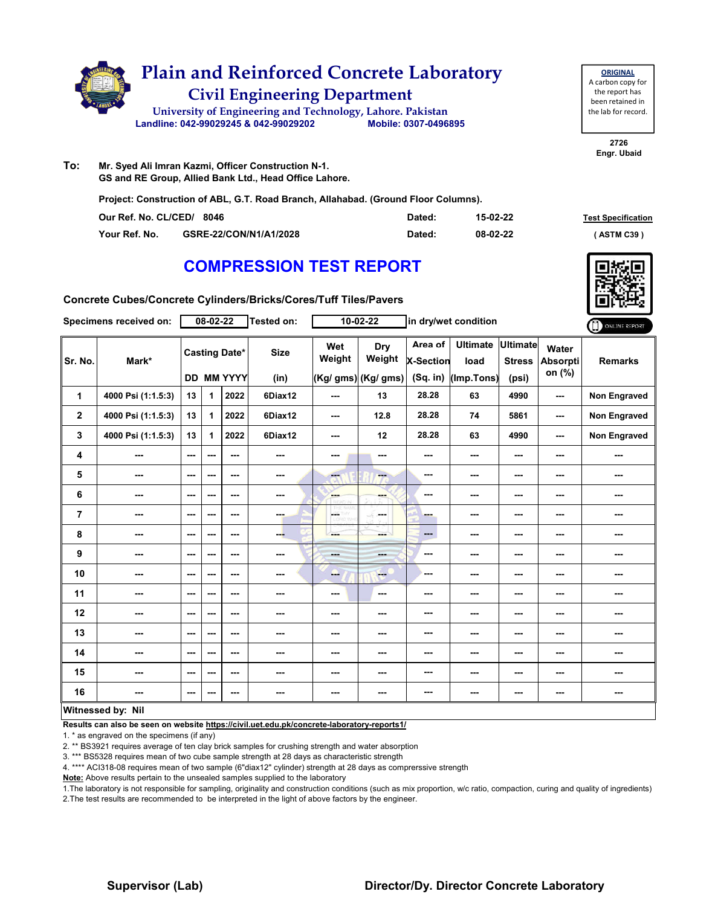

**To: Mr. Syed Ali Imran Kazmi, Officer Construction N-1. GS and RE Group, Allied Bank Ltd., Head Office Lahore.**

**Project: Construction of ABL, G.T. Road Branch, Allahabad. (Ground Floor Columns).**

| Our Ref. No. CL/CED/ 8046 |                        | Dated: | 15-02-22 | <b>Test Specification</b> |
|---------------------------|------------------------|--------|----------|---------------------------|
| Your Ref. No.             | GSRE-22/CON/N1/A1/2028 | Dated: | 08-02-22 | ASTM C39                  |

### **COMPRESSION TEST REPORT**

**Concrete Cubes/Concrete Cylinders/Bricks/Cores/Tuff Tiles/Pavers**

|                | Specimens received on:   |      | $08 - 02 - 22$ |                                    | <b>Tested on:</b>   |                         | $10 - 02 - 22$                       |                                         | in dry/wet condition                  |                                           |                             | ONLINE REPORT       |
|----------------|--------------------------|------|----------------|------------------------------------|---------------------|-------------------------|--------------------------------------|-----------------------------------------|---------------------------------------|-------------------------------------------|-----------------------------|---------------------|
| Sr. No.        | Mark*                    |      |                | <b>Casting Date*</b><br>DD MM YYYY | <b>Size</b><br>(in) | Wet<br>Weight           | Dry<br>Weight<br>(Kg/ gms) (Kg/ gms) | Area of<br><b>X-Section</b><br>(Sq. in) | <b>Ultimate</b><br>load<br>(Imp.Tons) | <b>Ultimate</b><br><b>Stress</b><br>(psi) | Water<br>Absorpti<br>on (%) | <b>Remarks</b>      |
| 1              | 4000 Psi (1:1.5:3)       | 13   | 1.             | 2022                               | 6Diax12             | ---                     | 13                                   | 28.28                                   | 63                                    | 4990                                      | ---                         | <b>Non Engraved</b> |
| $\mathbf{2}$   | 4000 Psi (1:1.5:3)       | 13   | 1              | 2022                               | 6Diax12             | ---                     | 12.8                                 | 28.28                                   | 74                                    | 5861                                      | ---                         | <b>Non Engraved</b> |
| 3              | 4000 Psi (1:1.5:3)       | 13   | 1              | 2022                               | 6Diax12             | $--$                    | 12                                   | 28.28                                   | 63                                    | 4990                                      | ---                         | Non Engraved        |
| 4              |                          | $--$ | ---            | ---                                | ---                 | ---                     | $\overline{\phantom{a}}$             | ---                                     | ---                                   | $--$                                      | ---                         | ---                 |
| 5              | ---                      | ---  | ---            | ---                                | ---                 | $\overline{\mathbf{a}}$ | --                                   | ---                                     | ---                                   | ---                                       | ---                         | ---                 |
| $\bf 6$        | ---                      | $--$ | ---            | ---                                | ---                 | <b>Albert</b>           | ---                                  | ---                                     | ---                                   | ---                                       | ---                         | ---                 |
| $\overline{7}$ | ---                      | ---  | ---            | ---                                | ---                 | OF THY                  | and a                                | ---                                     | ---                                   | ---                                       | ---                         | ---                 |
| 8              | ---                      | ---  | ---            | ---                                | ---                 | ---                     | ---                                  | ---                                     | ---                                   | ---                                       | ---                         | ---                 |
| 9              | ---                      | ---  | ---            | ---                                | ---                 |                         | ---                                  | ---                                     | ---                                   | $--$                                      | ---                         | ---                 |
| 10             | ---                      | ---  | ---            | ---                                | ---                 | ---                     | <b>Here</b>                          | ---                                     | ---                                   | ---                                       | ---                         | ---                 |
| 11             | ---                      | ---  | ---            | ---                                | ---                 | ---                     | ---                                  | ---                                     | ---                                   | ---                                       | ---                         | ---                 |
| 12             | ---                      | $--$ | ---            | ---                                | ---                 | ---                     | ---                                  | ---                                     | ---                                   | $--$                                      | ---                         | ---                 |
| 13             | ---                      | ---  | ---            | ---                                | ---                 | ---                     | ---                                  | ---                                     | ---                                   | ---                                       | ---                         | ---                 |
| 14             | ---                      | ---  | ---            | ---                                | ---                 | ---                     | ---                                  | ---                                     | ---                                   | ---                                       | ---                         | ---                 |
| 15             | ---                      | ---  | ---            | ---                                | ---                 | ---                     | ---                                  | ---                                     | ---                                   | ---                                       | ---                         |                     |
| 16             | ---                      | ---  | ---            | ---                                | ---                 | ---                     | ---                                  | ---                                     | ---                                   | ---                                       | ---                         | ---                 |
|                | <b>Witnessed by: Nil</b> |      |                |                                    |                     |                         |                                      |                                         |                                       |                                           |                             |                     |

#### **Witnessed by: Nil**

**Results can also be seen on website https://civil.uet.edu.pk/concrete-laboratory-reports1/**

1. \* as engraved on the specimens (if any)

2. \*\* BS3921 requires average of ten clay brick samples for crushing strength and water absorption

3. \*\*\* BS5328 requires mean of two cube sample strength at 28 days as characteristic strength

4. \*\*\*\* ACI318-08 requires mean of two sample (6"diax12" cylinder) strength at 28 days as comprerssive strength

**Note:** Above results pertain to the unsealed samples supplied to the laboratory

1.The laboratory is not responsible for sampling, originality and construction conditions (such as mix proportion, w/c ratio, compaction, curing and quality of ingredients) 2.The test results are recommended to be interpreted in the light of above factors by the engineer.

**2726 Engr. Ubaid**

### **Supervisor (Lab) Director/Dy. Director Concrete Laboratory**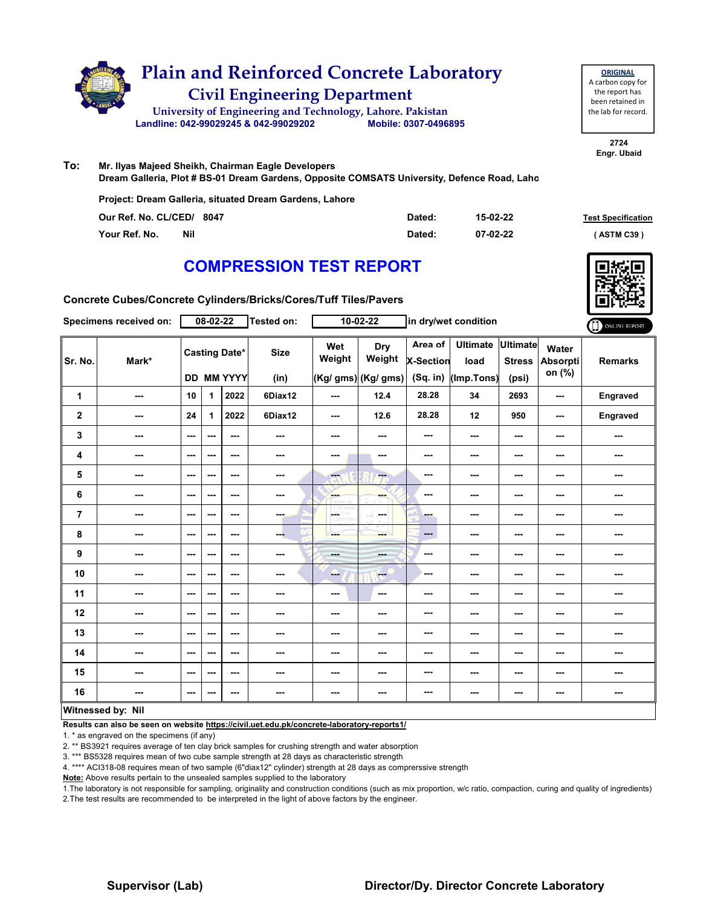

**ORIGINAL** A carbon copy for the report has been retained in the lab for record.

> **2724 Engr. Ubaid**

#### **To: Mr. Ilyas Majeed Sheikh, Chairman Eagle Developers**

**Dream Galleria, Plot # BS-01 Dream Gardens, Opposite COMSATS University, Defence Road, Lahore**

**Project: Dream Galleria, situated Dream Gardens, Lahore**

| Our Ref. No. CL/CED/ 8047   | Dated: | 15-02-22 | <b>Test Specification</b> |
|-----------------------------|--------|----------|---------------------------|
| <b>Nil</b><br>Your Ref. No. | Dated: | 07-02-22 | ASTM C39 \                |

### **COMPRESSION TEST REPORT**

**Concrete Cubes/Concrete Cylinders/Bricks/Cores/Tuff Tiles/Pavers**

|                | Specimens received on:   |                          | 08-02-22 |                                           | Tested on:               |                          | 10-02-22                             |                                           | in dry/wet condition                  |                                           |                             | ONLINE REPORT            |
|----------------|--------------------------|--------------------------|----------|-------------------------------------------|--------------------------|--------------------------|--------------------------------------|-------------------------------------------|---------------------------------------|-------------------------------------------|-----------------------------|--------------------------|
| Sr. No.        | Mark*                    |                          |          | <b>Casting Date*</b><br><b>DD MM YYYY</b> | <b>Size</b><br>(in)      | Wet<br>Weight            | Dry<br>Weight<br>(Kg/ gms) (Kg/ gms) | Area of<br><b>X-Section</b><br>$(Sq.$ in) | <b>Ultimate</b><br>load<br>(Imp.Tons) | <b>Ultimate</b><br><b>Stress</b><br>(psi) | Water<br>Absorpti<br>on (%) | <b>Remarks</b>           |
| 1              | ---                      | 10                       | 1        | 2022                                      | 6Diax12                  | ---                      | 12.4                                 | 28.28                                     | 34                                    | 2693                                      | ---                         | Engraved                 |
| $\mathbf 2$    | ---                      | 24                       | 1        | 2022                                      | 6Diax12                  | $\overline{\phantom{a}}$ | 12.6                                 | 28.28                                     | 12                                    | 950                                       | ---                         | Engraved                 |
| 3              | ---                      | ---                      | ---      | $--$                                      | $\overline{\phantom{a}}$ | ---                      | ---                                  | ---                                       | ---                                   | ---                                       | ---                         | ---                      |
| 4              | ---                      | $--$                     | ---      | ---                                       | $\overline{\phantom{a}}$ | ---                      | ---                                  | ---                                       | ---                                   | ---                                       | ---                         | ---                      |
| 5              | ---                      | $--$                     | ---      | ---                                       | ---                      | ---                      | ---                                  | ---                                       | ---                                   | ---                                       | ---                         | ---                      |
| 6              | ---                      | $\sim$ $\sim$            | ---      | ---                                       | $\cdots$                 | ---                      | ---                                  | ---                                       | ---                                   | ---                                       | ---                         | ---                      |
| $\overline{7}$ | ---                      | $\sim$ $\sim$            | ---      | $--$                                      | <b>THE</b>               | L.                       | in ma<br>-F                          | ---                                       | ---                                   | ---                                       | ---                         | $\overline{\phantom{a}}$ |
| 8              | ---                      | $--$                     | ---      | ---                                       | --                       | ---                      | ---                                  | ---                                       | ---                                   | $--$                                      | ---                         | ---                      |
| 9              | ---                      | $\sim$ $\sim$            | ---      | ---                                       | ---                      | ---                      | ---                                  | ---                                       | ---                                   | ---                                       | ---                         | ---                      |
| 10             | $\overline{\phantom{a}}$ | $\sim$ $\sim$            | ---      | ---                                       | $\frac{1}{2}$            | ---                      | <b>COLLECT</b>                       | ---                                       | ---                                   | $--$                                      | ---                         | ---                      |
| 11             | ---                      | ---                      | ---      | ---                                       | $\overline{\phantom{a}}$ | ---                      | ---                                  | ---                                       | ---                                   | ---                                       | ---                         | ---                      |
| 12             | ---                      | $--$                     | ---      | ---                                       | ---                      | ---                      | ---                                  | ---                                       | ---                                   | ---                                       | ---                         | ---                      |
| 13             | ---                      | $\sim$ $\sim$            | ---      | $--$                                      | ---                      | ---                      | ---                                  | ---                                       | ---                                   | ---                                       | ---                         | ---                      |
| 14             | ---                      | $- - -$                  | ---      | $- - -$                                   | ---                      | ---                      | ---                                  | ---                                       | ---                                   | ---                                       | ---                         | ---                      |
| 15             | ---                      | ---                      | ---      | $--$                                      | ---                      | ---                      | ---                                  | ---                                       | ---                                   | ---                                       | ---                         | ---                      |
| 16             | $\sim$ $\sim$            | $\overline{\phantom{a}}$ | ---      | ---                                       | $\sim$                   | ---                      | ---                                  | ---                                       | ---                                   | $--$                                      | ---                         | ---                      |
|                | Witnessed by: Nil        |                          |          |                                           |                          |                          |                                      |                                           |                                       |                                           |                             |                          |

**Results can also be seen on website https://civil.uet.edu.pk/concrete-laboratory-reports1/**

1. \* as engraved on the specimens (if any)

2. \*\* BS3921 requires average of ten clay brick samples for crushing strength and water absorption

3. \*\*\* BS5328 requires mean of two cube sample strength at 28 days as characteristic strength

4. \*\*\*\* ACI318-08 requires mean of two sample (6"diax12" cylinder) strength at 28 days as comprerssive strength

**Note:** Above results pertain to the unsealed samples supplied to the laboratory